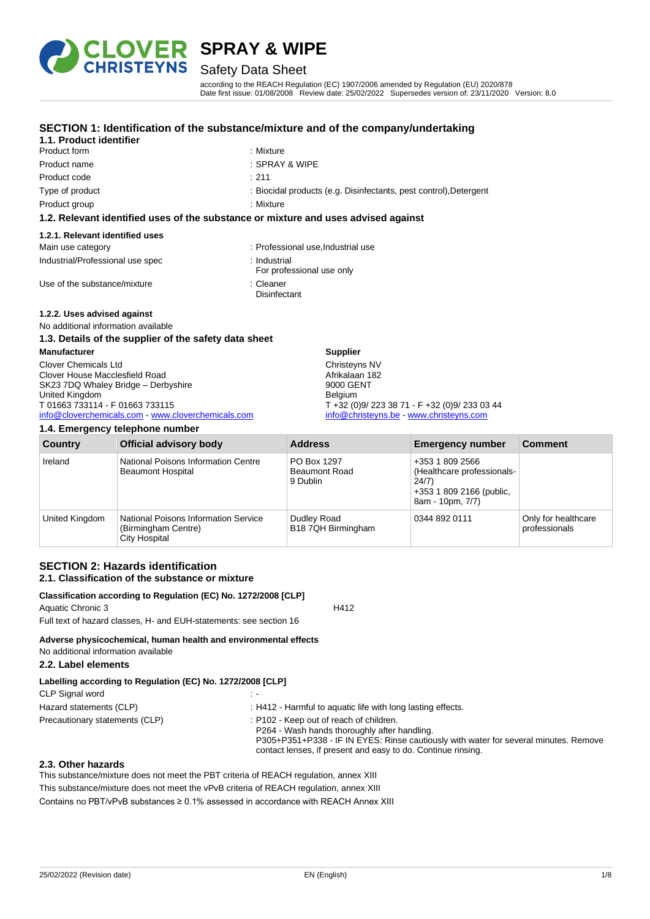

# Safety Data Sheet

according to the REACH Regulation (EC) 1907/2006 amended by Regulation (EU) 2020/878 Date first issue: 01/08/2008 Review date: 25/02/2022 Supersedes version of: 23/11/2020 Version: 8.0

#### **SECTION 1: Identification of the substance/mixture and of the company/undertaking**

#### **1.1. Product identifier** Product form : Nixture : Mixture Product name : SPRAY & WIPE Product code : 211

- 
- 
- 
- Type of product : Biocidal products (e.g. Disinfectants, pest control), Detergent
- Product group **: Mixture**

#### **1.2. Relevant identified uses of the substance or mixture and uses advised against**

#### **1.2.1. Relevant identified uses**

| Main use category                | Professional use Industrial use |
|----------------------------------|---------------------------------|
| Industrial/Professional use spec | : Industrial                    |

**Disinfectant** 

- For professional use only
- Use of the substance/mixture in the substance of the substance in the set of the substance of the substance of the substance of the substance of the substance of the substance of the substance of the substance of the subst

#### **1.2.2. Uses advised against**

#### No additional information available

#### **1.3. Details of the supplier of the safety data sheet**

| <b>Manufacturer</b>                                | <b>Supplier</b>                               |
|----------------------------------------------------|-----------------------------------------------|
| <b>Clover Chemicals Ltd</b>                        | Christeyns NV                                 |
| Clover House Macclesfield Road                     | Afrikalaan 182                                |
| SK23 7DQ Whaley Bridge - Derbyshire                | 9000 GENT                                     |
| United Kingdom                                     | <b>Belaium</b>                                |
| T 01663 733114 - F 01663 733115                    | T +32 (0)9/ 223 38 71 - F +32 (0)9/ 233 03 44 |
| info@cloverchemicals.com - www.cloverchemicals.com | info@christeyns.be www.christeyns.com         |

#### **1.4. Emergency telephone number**

| <b>Country</b> | <b>Official advisory body</b>                                                              | <b>Address</b>                                  | <b>Emergency number</b>                                                                                | <b>Comment</b>                       |
|----------------|--------------------------------------------------------------------------------------------|-------------------------------------------------|--------------------------------------------------------------------------------------------------------|--------------------------------------|
| Ireland        | National Poisons Information Centre<br><b>Beaumont Hospital</b>                            | PO Box 1297<br><b>Beaumont Road</b><br>9 Dublin | +353 1 809 2566<br>(Healthcare professionals-<br>24/7)<br>+353 1 809 2166 (public,<br>8am - 10pm, 7/7) |                                      |
| United Kingdom | <b>National Poisons Information Service</b><br>(Birmingham Centre)<br><b>City Hospital</b> | Dudley Road<br>B18 7QH Birmingham               | 0344 892 0111                                                                                          | Only for healthcare<br>professionals |

#### **SECTION 2: Hazards identification 2.1. Classification of the substance or mixture**

#### **Classification according to Regulation (EC) No. 1272/2008 [CLP]**

Aquatic Chronic 3 H412

Full text of hazard classes, H- and EUH-statements: see section 16

#### **Adverse physicochemical, human health and environmental effects**

No additional information available

### **2.2. Label elements**

| Labelling according to Regulation (EC) No. 1272/2008 [CLP] |  |  |  |
|------------------------------------------------------------|--|--|--|
|                                                            |  |  |  |

| CLP Signal word                |                                                                                                                                                                                                                                                 |
|--------------------------------|-------------------------------------------------------------------------------------------------------------------------------------------------------------------------------------------------------------------------------------------------|
| Hazard statements (CLP)        | : H412 - Harmful to aquatic life with long lasting effects.                                                                                                                                                                                     |
| Precautionary statements (CLP) | : P102 - Keep out of reach of children.<br>P264 - Wash hands thoroughly after handling.<br>P305+P351+P338 - IF IN EYES: Rinse cautiously with water for several minutes. Remove<br>contact lenses, if present and easy to do. Continue rinsing. |

#### **2.3. Other hazards**

This substance/mixture does not meet the PBT criteria of REACH regulation, annex XIII This substance/mixture does not meet the vPvB criteria of REACH regulation, annex XIII Contains no PBT/vPvB substances ≥ 0.1% assessed in accordance with REACH Annex XIII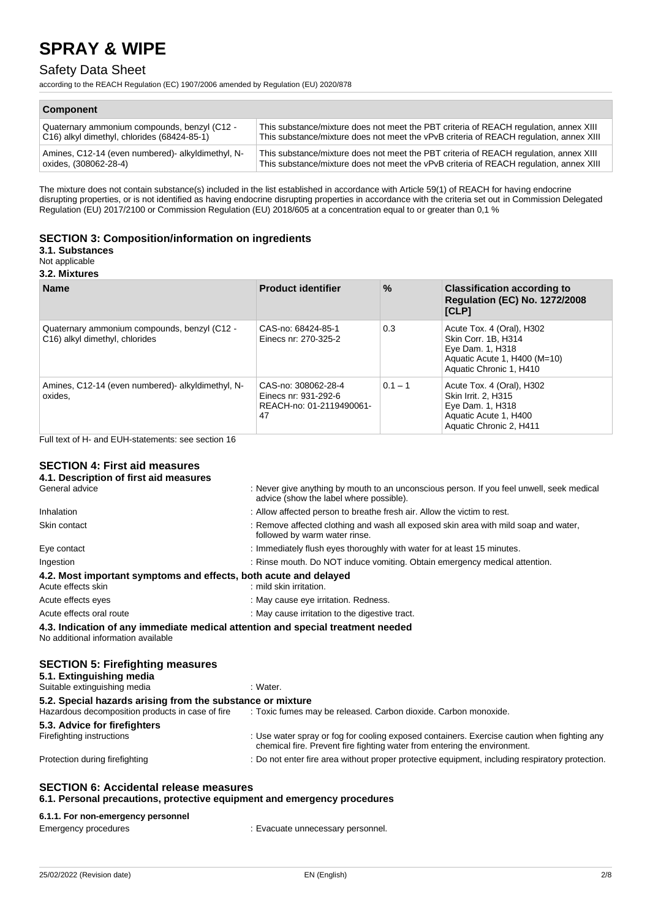## Safety Data Sheet

according to the REACH Regulation (EC) 1907/2006 amended by Regulation (EU) 2020/878

| <b>Component</b>                                  |                                                                                        |
|---------------------------------------------------|----------------------------------------------------------------------------------------|
| Quaternary ammonium compounds, benzyl (C12 -      | This substance/mixture does not meet the PBT criteria of REACH regulation, annex XIII  |
| C16) alkyl dimethyl, chlorides (68424-85-1)       | This substance/mixture does not meet the vPvB criteria of REACH regulation, annex XIII |
| Amines, C12-14 (even numbered)- alkyldimethyl, N- | This substance/mixture does not meet the PBT criteria of REACH regulation, annex XIII  |
| oxides, (308062-28-4)                             | This substance/mixture does not meet the vPvB criteria of REACH regulation, annex XIII |

The mixture does not contain substance(s) included in the list established in accordance with Article 59(1) of REACH for having endocrine disrupting properties, or is not identified as having endocrine disrupting properties in accordance with the criteria set out in Commission Delegated Regulation (EU) 2017/2100 or Commission Regulation (EU) 2018/605 at a concentration equal to or greater than 0,1 %

#### **SECTION 3: Composition/information on ingredients**

### **3.1. Substances**

Not applicable

#### **3.2. Mixtures**

| <b>Name</b>                                                                    | <b>Product identifier</b>                                                     | $\%$      | <b>Classification according to</b><br><b>Regulation (EC) No. 1272/2008</b><br>[CLP]                                             |
|--------------------------------------------------------------------------------|-------------------------------------------------------------------------------|-----------|---------------------------------------------------------------------------------------------------------------------------------|
| Quaternary ammonium compounds, benzyl (C12 -<br>C16) alkyl dimethyl, chlorides | CAS-no: 68424-85-1<br>Einecs nr: 270-325-2                                    | 0.3       | Acute Tox. 4 (Oral), H302<br>Skin Corr. 1B. H314<br>Eye Dam. 1, H318<br>Aquatic Acute 1, H400 (M=10)<br>Aquatic Chronic 1, H410 |
| Amines, C12-14 (even numbered) alkyldimethyl, N-<br>oxides,                    | CAS-no: 308062-28-4<br>Einecs nr: 931-292-6<br>REACH-no: 01-2119490061-<br>47 | $0.1 - 1$ | Acute Tox. 4 (Oral), H302<br>Skin Irrit. 2. H315<br>Eye Dam. 1, H318<br>Aquatic Acute 1, H400<br>Aquatic Chronic 2, H411        |

Full text of H- and EUH-statements: see section 16

### **SECTION 4: First aid measures**

| : Never give anything by mouth to an unconscious person. If you feel unwell, seek medical<br>advice (show the label where possible). |
|--------------------------------------------------------------------------------------------------------------------------------------|
| : Allow affected person to breathe fresh air. Allow the victim to rest.                                                              |
| : Remove affected clothing and wash all exposed skin area with mild soap and water,<br>followed by warm water rinse.                 |
| : Immediately flush eyes thoroughly with water for at least 15 minutes.                                                              |
| : Rinse mouth. Do NOT induce vomiting. Obtain emergency medical attention.                                                           |
| 4.2. Most important symptoms and effects, both acute and delayed<br>: mild skin irritation.                                          |
| : May cause eye irritation. Redness.                                                                                                 |
| : May cause irritation to the digestive tract.                                                                                       |
| 4.3. Indication of any immediate medical attention and special treatment needed                                                      |
| : Water.                                                                                                                             |
| 5.2. Special hazards arising from the substance or mixture                                                                           |
|                                                                                                                                      |

| <u>The Providition at alloting them the capelanes of minimum o</u> |                                                                                                                                                                          |
|--------------------------------------------------------------------|--------------------------------------------------------------------------------------------------------------------------------------------------------------------------|
| Hazardous decomposition products in case of fire                   | : Toxic fumes may be released. Carbon dioxide. Carbon monoxide.                                                                                                          |
| 5.3. Advice for firefighters                                       |                                                                                                                                                                          |
| Firefighting instructions                                          | : Use water spray or fog for cooling exposed containers. Exercise caution when fighting any<br>chemical fire. Prevent fire fighting water from entering the environment. |
| Protection during firefighting                                     | : Do not enter fire area without proper protective equipment, including respiratory protection.                                                                          |
|                                                                    |                                                                                                                                                                          |

# **SECTION 6: Accidental release measures**

**6.1. Personal precautions, protective equipment and emergency procedures**

### **6.1.1. For non-emergency personnel**

| Emergency procedures | : Evacuate unnecessary personnel. |
|----------------------|-----------------------------------|
|----------------------|-----------------------------------|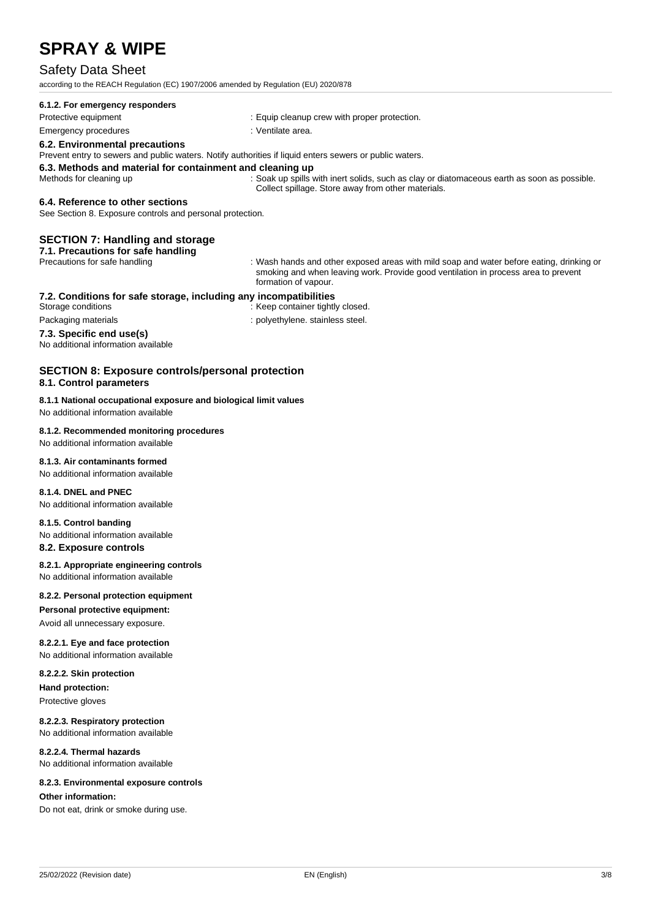### Safety Data Sheet

according to the REACH Regulation (EC) 1907/2006 amended by Regulation (EU) 2020/878

#### **6.1.2. For emergency responders**

Protective equipment **intervalse and the Community** Equip cleanup crew with proper protection.

### Emergency procedures in the state of the state of the Senate Senate area.

#### **6.2. Environmental precautions**

Prevent entry to sewers and public waters. Notify authorities if liquid enters sewers or public waters.

# **6.3. Methods and material for containment and cleaning up**

: Soak up spills with inert solids, such as clay or diatomaceous earth as soon as possible. Collect spillage. Store away from other materials.

#### **6.4. Reference to other sections**

See Section 8. Exposure controls and personal protection.

#### **SECTION 7: Handling and storage**

**7.1. Precautions for safe handling**

Precautions for safe handling : Wash hands and other exposed areas with mild soap and water before eating, drinking or smoking and when leaving work. Provide good ventilation in process area to prevent formation of vapour.

# **7.2. Conditions for safe storage, including any incompatibilities**

.<br>Keep container tightly closed. Packaging materials **Packaging materials** : polyethylene. stainless steel.

#### **7.3. Specific end use(s)**

No additional information available

#### **SECTION 8: Exposure controls/personal protection 8.1. Control parameters**

#### **8.1.1 National occupational exposure and biological limit values**

No additional information available

#### **8.1.2. Recommended monitoring procedures**

No additional information available

#### **8.1.3. Air contaminants formed**

No additional information available

#### **8.1.4. DNEL and PNEC**

No additional information available

#### **8.1.5. Control banding**

No additional information available

#### **8.2. Exposure controls**

**8.2.1. Appropriate engineering controls**

No additional information available

#### **8.2.2. Personal protection equipment**

**Personal protective equipment:**

### Avoid all unnecessary exposure.

**8.2.2.1. Eye and face protection** No additional information available

### **8.2.2.2. Skin protection**

**Hand protection:**

Protective gloves

#### **8.2.2.3. Respiratory protection**

No additional information available

#### **8.2.2.4. Thermal hazards**

No additional information available

#### **8.2.3. Environmental exposure controls**

**Other information:**

Do not eat, drink or smoke during use.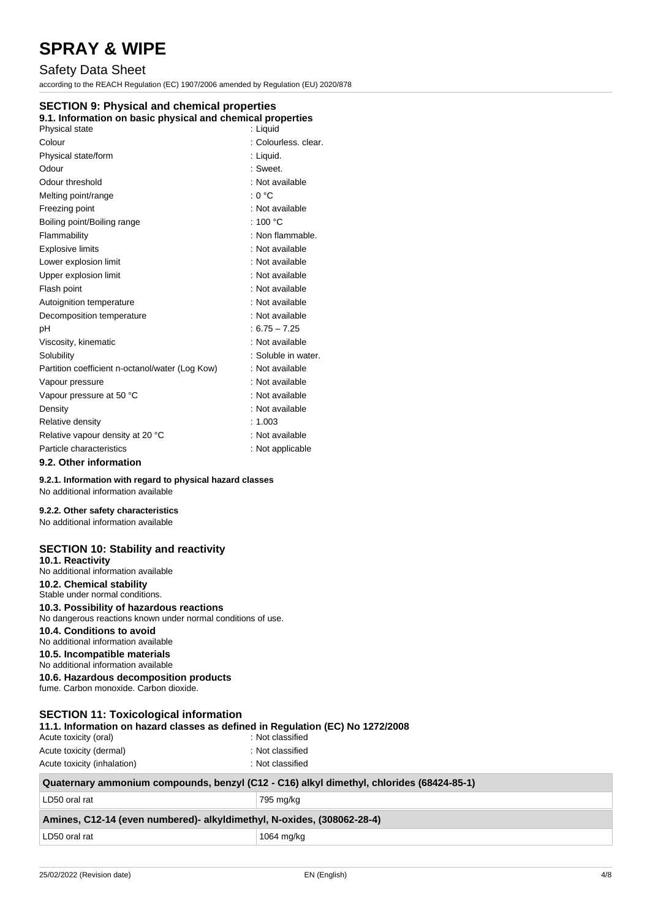## Safety Data Sheet

according to the REACH Regulation (EC) 1907/2006 amended by Regulation (EU) 2020/878

#### **SECTION 9: Physical and chemical properties**

### **9.1. Information on basic physical and chemical properties**

| Physical state                                  | : Liguid             |
|-------------------------------------------------|----------------------|
| Colour                                          | : Colourless, clear, |
| Physical state/form                             | : Liquid.            |
| Odour                                           | : Sweet.             |
| Odour threshold                                 | : Not available      |
| Melting point/range                             | : 0 °C               |
| Freezing point                                  | : Not available      |
| Boiling point/Boiling range                     | : 100 $\degree$ C    |
| Flammability                                    | : Non flammable.     |
| <b>Explosive limits</b>                         | : Not available      |
| Lower explosion limit                           | : Not available      |
| Upper explosion limit                           | : Not available      |
| Flash point                                     | : Not available      |
| Autoignition temperature                        | : Not available      |
| Decomposition temperature                       | : Not available      |
| pH                                              | $: 6.75 - 7.25$      |
| Viscosity, kinematic                            | : Not available      |
| Solubility                                      | : Soluble in water.  |
| Partition coefficient n-octanol/water (Log Kow) | : Not available      |
| Vapour pressure                                 | : Not available      |
| Vapour pressure at 50 °C                        | : Not available      |
| Density                                         | : Not available      |
| Relative density                                | : 1.003              |
| Relative vapour density at 20 °C                | : Not available      |
| Particle characteristics                        | : Not applicable     |
| 9.2. Other information                          |                      |

**9.2.1. Information with regard to physical hazard classes**

## No additional information available

### **9.2.2. Other safety characteristics**

No additional information available

| <b>SECTION 10: Stability and reactivity</b><br>10.1. Reactivity<br>No additional information available<br>10.2. Chemical stability<br>Stable under normal conditions.<br>10.3. Possibility of hazardous reactions<br>No dangerous reactions known under normal conditions of use.<br>10.4. Conditions to avoid<br>No additional information available<br>10.5. Incompatible materials<br>No additional information available<br>10.6. Hazardous decomposition products<br>fume. Carbon monoxide. Carbon dioxide. |                                                                                          |
|------------------------------------------------------------------------------------------------------------------------------------------------------------------------------------------------------------------------------------------------------------------------------------------------------------------------------------------------------------------------------------------------------------------------------------------------------------------------------------------------------------------|------------------------------------------------------------------------------------------|
| <b>SECTION 11: Toxicological information</b><br>11.1. Information on hazard classes as defined in Regulation (EC) No 1272/2008<br>Acute toxicity (oral)<br>Acute toxicity (dermal)<br>Acute toxicity (inhalation)                                                                                                                                                                                                                                                                                                | : Not classified<br>: Not classified<br>: Not classified                                 |
|                                                                                                                                                                                                                                                                                                                                                                                                                                                                                                                  | Quaternary ammonium compounds, benzyl (C12 - C16) alkyl dimethyl, chlorides (68424-85-1) |
| LD50 oral rat                                                                                                                                                                                                                                                                                                                                                                                                                                                                                                    | 795 mg/kg                                                                                |
| Amines, C12-14 (even numbered)- alkyldimethyl, N-oxides, (308062-28-4)                                                                                                                                                                                                                                                                                                                                                                                                                                           |                                                                                          |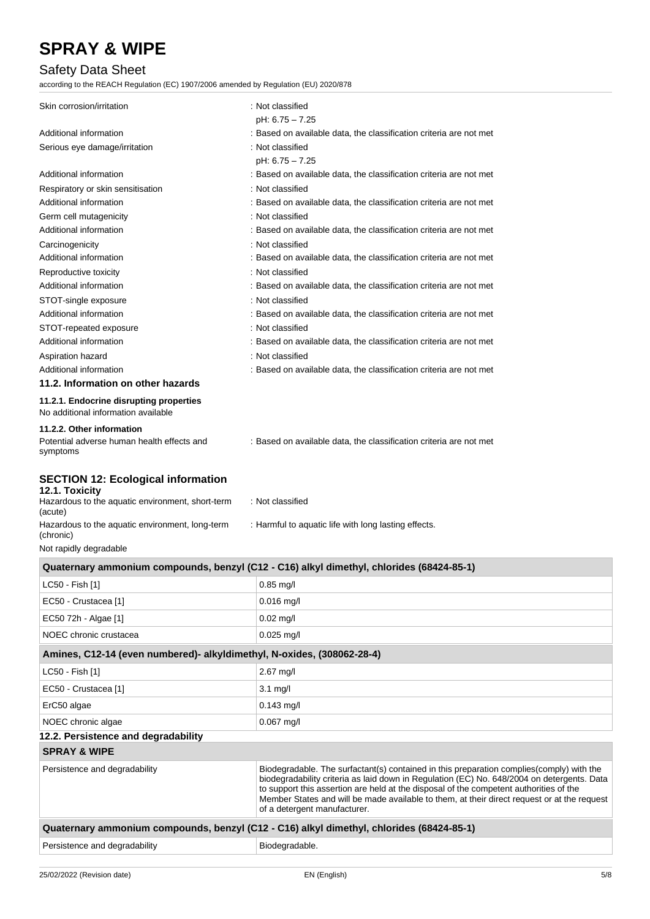## Safety Data Sheet

according to the REACH Regulation (EC) 1907/2006 amended by Regulation (EU) 2020/878

| Skin corrosion/irritation                                                           | : Not classified                                                   |
|-------------------------------------------------------------------------------------|--------------------------------------------------------------------|
|                                                                                     | pH: 6.75 - 7.25                                                    |
| Additional information                                                              | : Based on available data, the classification criteria are not met |
| Serious eye damage/irritation                                                       | : Not classified                                                   |
|                                                                                     | pH: 6.75 - 7.25                                                    |
| Additional information                                                              | : Based on available data, the classification criteria are not met |
| Respiratory or skin sensitisation                                                   | : Not classified                                                   |
| Additional information                                                              | : Based on available data, the classification criteria are not met |
| Germ cell mutagenicity                                                              | : Not classified                                                   |
| Additional information                                                              | : Based on available data, the classification criteria are not met |
| Carcinogenicity                                                                     | : Not classified                                                   |
| Additional information                                                              | : Based on available data, the classification criteria are not met |
| Reproductive toxicity                                                               | : Not classified                                                   |
| Additional information                                                              | : Based on available data, the classification criteria are not met |
| STOT-single exposure                                                                | : Not classified                                                   |
| Additional information                                                              | : Based on available data, the classification criteria are not met |
| STOT-repeated exposure                                                              | : Not classified                                                   |
| Additional information                                                              | : Based on available data, the classification criteria are not met |
| Aspiration hazard                                                                   | : Not classified                                                   |
| Additional information                                                              | : Based on available data, the classification criteria are not met |
| 11.2. Information on other hazards                                                  |                                                                    |
| 11.2.1. Endocrine disrupting properties<br>No additional information available      |                                                                    |
| 11.2.2. Other information<br>Potential adverse human health effects and<br>symptoms | : Based on available data, the classification criteria are not met |

### **SECTION 12: Ecological information**

#### **12.1. Toxicity** Hazardous to the aquatic environment, short-term (acute) : Not classified Hazardous to the aquatic environment, long-term (chronic) : Harmful to aquatic life with long lasting effects. Not rapidly degradable

| Quaternary ammonium compounds, benzyl (C12 - C16) alkyl dimethyl, chlorides (68424-85-1) |                                                                                                                                                                                                                                                                                                                                                                                                                 |  |  |
|------------------------------------------------------------------------------------------|-----------------------------------------------------------------------------------------------------------------------------------------------------------------------------------------------------------------------------------------------------------------------------------------------------------------------------------------------------------------------------------------------------------------|--|--|
| LC50 - Fish [1]                                                                          | $0.85$ mg/l                                                                                                                                                                                                                                                                                                                                                                                                     |  |  |
| EC50 - Crustacea [1]                                                                     | $0.016$ mg/l                                                                                                                                                                                                                                                                                                                                                                                                    |  |  |
| EC50 72h - Algae [1]                                                                     | $0.02$ mg/l                                                                                                                                                                                                                                                                                                                                                                                                     |  |  |
| NOEC chronic crustacea                                                                   | $0.025$ mg/l                                                                                                                                                                                                                                                                                                                                                                                                    |  |  |
| Amines, C12-14 (even numbered)- alkyldimethyl, N-oxides, (308062-28-4)                   |                                                                                                                                                                                                                                                                                                                                                                                                                 |  |  |
| LC50 - Fish [1]                                                                          | $2.67$ mg/l                                                                                                                                                                                                                                                                                                                                                                                                     |  |  |
| EC50 - Crustacea [1]                                                                     | $3.1 \text{ mg/l}$                                                                                                                                                                                                                                                                                                                                                                                              |  |  |
| ErC50 algae                                                                              | $0.143$ mg/l                                                                                                                                                                                                                                                                                                                                                                                                    |  |  |
| NOEC chronic algae                                                                       | $0.067$ mg/l                                                                                                                                                                                                                                                                                                                                                                                                    |  |  |
| 12.2. Persistence and degradability                                                      |                                                                                                                                                                                                                                                                                                                                                                                                                 |  |  |
| <b>SPRAY &amp; WIPE</b>                                                                  |                                                                                                                                                                                                                                                                                                                                                                                                                 |  |  |
| Persistence and degradability                                                            | Biodegradable. The surfactant(s) contained in this preparation complies(comply) with the<br>biodegradability criteria as laid down in Regulation (EC) No. 648/2004 on detergents. Data<br>to support this assertion are held at the disposal of the competent authorities of the<br>Member States and will be made available to them, at their direct request or at the request<br>of a detergent manufacturer. |  |  |
| Quaternary ammonium compounds, benzyl (C12 - C16) alkyl dimethyl, chlorides (68424-85-1) |                                                                                                                                                                                                                                                                                                                                                                                                                 |  |  |
| Persistence and degradability                                                            | Biodegradable.                                                                                                                                                                                                                                                                                                                                                                                                  |  |  |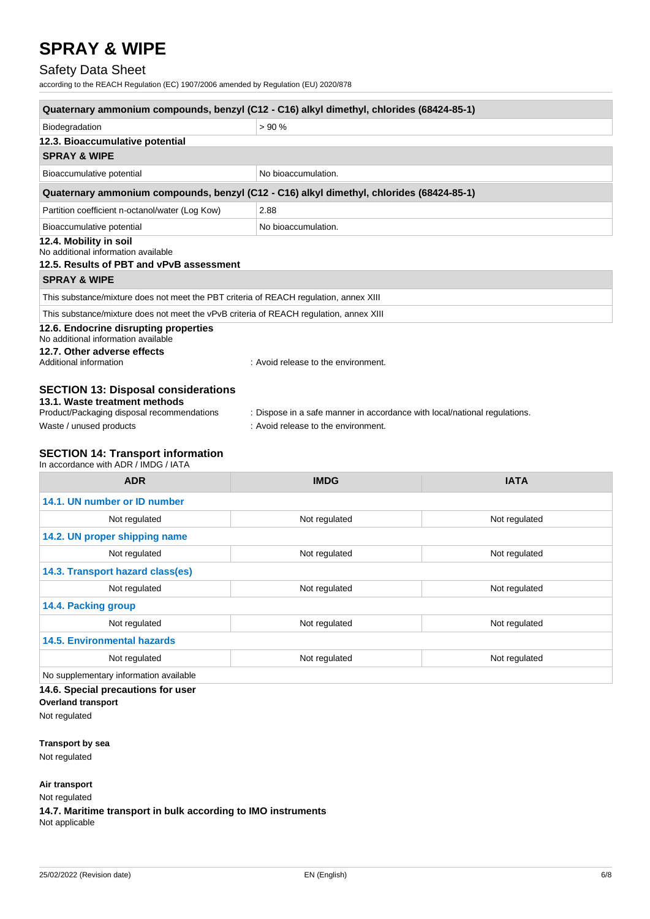## Safety Data Sheet

according to the REACH Regulation (EC) 1907/2006 amended by Regulation (EU) 2020/878

| Quaternary ammonium compounds, benzyl (C12 - C16) alkyl dimethyl, chlorides (68424-85-1)                  |                                                                                                                  |  |  |
|-----------------------------------------------------------------------------------------------------------|------------------------------------------------------------------------------------------------------------------|--|--|
| Biodegradation                                                                                            | > 90%                                                                                                            |  |  |
| 12.3. Bioaccumulative potential                                                                           |                                                                                                                  |  |  |
| <b>SPRAY &amp; WIPE</b>                                                                                   |                                                                                                                  |  |  |
| Bioaccumulative potential                                                                                 | No bioaccumulation.                                                                                              |  |  |
|                                                                                                           | Quaternary ammonium compounds, benzyl (C12 - C16) alkyl dimethyl, chlorides (68424-85-1)                         |  |  |
| Partition coefficient n-octanol/water (Log Kow)                                                           | 2.88                                                                                                             |  |  |
| No bioaccumulation.<br>Bioaccumulative potential                                                          |                                                                                                                  |  |  |
| 12.4. Mobility in soil<br>No additional information available<br>12.5. Results of PBT and vPvB assessment |                                                                                                                  |  |  |
| <b>SPRAY &amp; WIPE</b>                                                                                   |                                                                                                                  |  |  |
| This substance/mixture does not meet the PBT criteria of REACH regulation, annex XIII                     |                                                                                                                  |  |  |
| This substance/mixture does not meet the vPvB criteria of REACH regulation, annex XIII                    |                                                                                                                  |  |  |
| 12.6. Endocrine disrupting properties<br>No additional information available                              |                                                                                                                  |  |  |
| 12.7. Other adverse effects<br>Additional information                                                     | : Avoid release to the environment.                                                                              |  |  |
| <b>SECTION 13: Disposal considerations</b><br>13.1. Waste treatment methods                               |                                                                                                                  |  |  |
| Product/Packaging disposal recommendations<br>Waste / unused products                                     | : Dispose in a safe manner in accordance with local/national regulations.<br>: Avoid release to the environment. |  |  |

#### **SECTION 14: Transport information**

In accordance with ADR / IMDG / IATA

| <b>ADR</b>                             | <b>IMDG</b>   | <b>IATA</b>   |  |
|----------------------------------------|---------------|---------------|--|
| 14.1. UN number or ID number           |               |               |  |
| Not regulated                          | Not regulated | Not regulated |  |
| 14.2. UN proper shipping name          |               |               |  |
| Not regulated                          | Not regulated | Not regulated |  |
| 14.3. Transport hazard class(es)       |               |               |  |
| Not regulated                          | Not regulated | Not regulated |  |
| 14.4. Packing group                    |               |               |  |
| Not regulated                          | Not regulated | Not regulated |  |
| <b>14.5. Environmental hazards</b>     |               |               |  |
| Not regulated                          | Not regulated | Not regulated |  |
| No supplementary information available |               |               |  |
| 14.6. Special precautions for user     |               |               |  |

**Overland transport**

Not regulated

**Transport by sea**

Not regulated

#### **Air transport**

Not regulated

**14.7. Maritime transport in bulk according to IMO instruments** Not applicable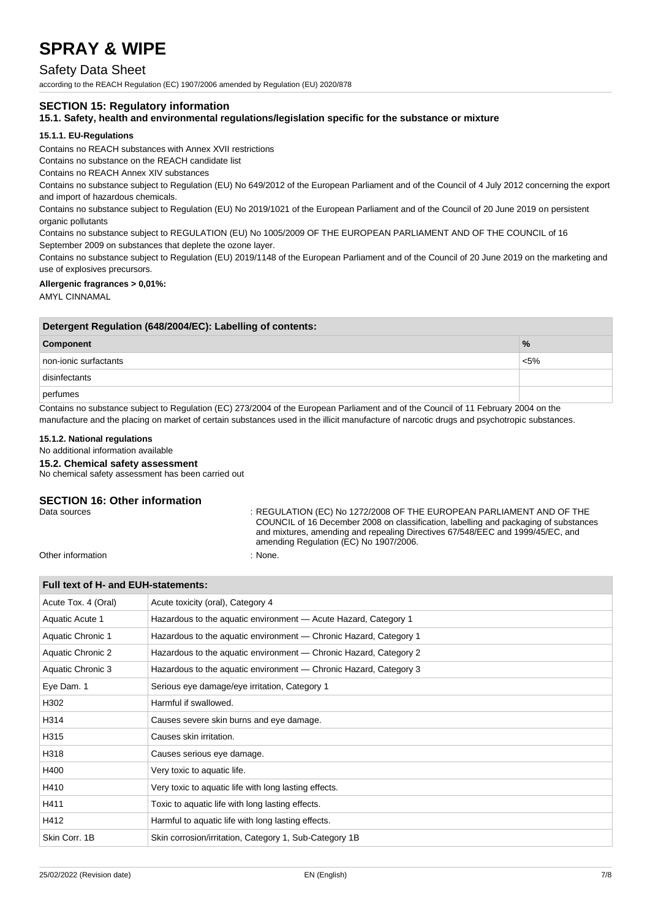### Safety Data Sheet

according to the REACH Regulation (EC) 1907/2006 amended by Regulation (EU) 2020/878

#### **SECTION 15: Regulatory information**

#### **15.1. Safety, health and environmental regulations/legislation specific for the substance or mixture**

#### **15.1.1. EU-Regulations**

Contains no REACH substances with Annex XVII restrictions

Contains no substance on the REACH candidate list

Contains no REACH Annex XIV substances

Contains no substance subject to Regulation (EU) No 649/2012 of the European Parliament and of the Council of 4 July 2012 concerning the export and import of hazardous chemicals.

Contains no substance subject to Regulation (EU) No 2019/1021 of the European Parliament and of the Council of 20 June 2019 on persistent organic pollutants

Contains no substance subject to REGULATION (EU) No 1005/2009 OF THE EUROPEAN PARLIAMENT AND OF THE COUNCIL of 16 September 2009 on substances that deplete the ozone layer.

Contains no substance subject to Regulation (EU) 2019/1148 of the European Parliament and of the Council of 20 June 2019 on the marketing and use of explosives precursors.

#### **Allergenic fragrances > 0,01%:**

AMYL CINNAMAL

| Detergent Regulation (648/2004/EC): Labelling of contents: |               |  |
|------------------------------------------------------------|---------------|--|
| Component                                                  | $\frac{9}{6}$ |  |
| non-ionic surfactants                                      | $< 5\%$       |  |
| disinfectants                                              |               |  |
| perfumes                                                   |               |  |

Contains no substance subject to Regulation (EC) 273/2004 of the European Parliament and of the Council of 11 February 2004 on the manufacture and the placing on market of certain substances used in the illicit manufacture of narcotic drugs and psychotropic substances.

#### **15.1.2. National regulations**

No additional information available

**Full text of H- and EUH-statements:**

#### **15.2. Chemical safety assessment**

No chemical safety assessment has been carried out

# **SECTION 16: Other information**<br>Data sources

: REGULATION (EC) No 1272/2008 OF THE EUROPEAN PARLIAMENT AND OF THE COUNCIL of 16 December 2008 on classification, labelling and packaging of substances and mixtures, amending and repealing Directives 67/548/EEC and 1999/45/EC, and amending Regulation (EC) No 1907/2006.

Other information : None.

| Pull text of H- and EUH-statements. |                                                                   |  |
|-------------------------------------|-------------------------------------------------------------------|--|
| Acute Tox. 4 (Oral)                 | Acute toxicity (oral), Category 4                                 |  |
| Aquatic Acute 1                     | Hazardous to the aquatic environment - Acute Hazard, Category 1   |  |
| Aquatic Chronic 1                   | Hazardous to the aquatic environment — Chronic Hazard, Category 1 |  |
| Aquatic Chronic 2                   | Hazardous to the aquatic environment — Chronic Hazard, Category 2 |  |
| Aquatic Chronic 3                   | Hazardous to the aquatic environment - Chronic Hazard, Category 3 |  |
| Eye Dam. 1                          | Serious eye damage/eye irritation, Category 1                     |  |
| H302                                | Harmful if swallowed.                                             |  |
| H314                                | Causes severe skin burns and eye damage.                          |  |
| H315                                | Causes skin irritation.                                           |  |
| H318                                | Causes serious eye damage.                                        |  |
| H400                                | Very toxic to aquatic life.                                       |  |
| H410                                | Very toxic to aquatic life with long lasting effects.             |  |
| H411                                | Toxic to aquatic life with long lasting effects.                  |  |
| H412                                | Harmful to aquatic life with long lasting effects.                |  |
| Skin Corr. 1B                       | Skin corrosion/irritation, Category 1, Sub-Category 1B            |  |